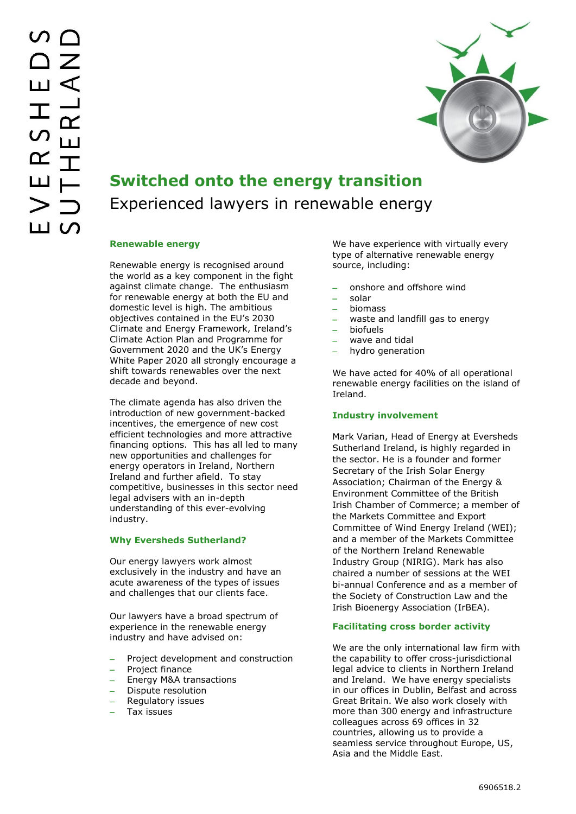

# **Switched onto the energy transition** Experienced lawyers in renewable energy

### **Renewable energy**

Renewable energy is recognised around the world as a key component in the fight against climate change. The enthusiasm for renewable energy at both the EU and domestic level is high. The ambitious objectives contained in the EU's 2030 Climate and Energy Framework, Ireland's Climate Action Plan and Programme for Government 2020 and the UK's Energy White Paper 2020 all strongly encourage a shift towards renewables over the next decade and beyond.

The climate agenda has also driven the introduction of new government-backed incentives, the emergence of new cost efficient technologies and more attractive financing options. This has all led to many new opportunities and challenges for energy operators in Ireland, Northern Ireland and further afield. To stay competitive, businesses in this sector need legal advisers with an in-depth understanding of this ever-evolving industry.

## **Why Eversheds Sutherland?**

Our energy lawyers work almost exclusively in the industry and have an acute awareness of the types of issues and challenges that our clients face.

Our lawyers have a broad spectrum of experience in the renewable energy industry and have advised on:

- Project development and construction
- Project finance
- Energy M&A transactions
- Dispute resolution
- Regulatory issues
- Tax issues

We have experience with virtually every type of alternative renewable energy source, including:

- onshore and offshore wind
- solar
- biomass
- waste and landfill gas to energy
- biofuels
- wave and tidal
- hydro generation

We have acted for 40% of all operational renewable energy facilities on the island of Ireland.

## **Industry involvement**

Mark Varian, Head of Energy at Eversheds Sutherland Ireland, is highly regarded in the sector. He is a founder and former Secretary of the Irish Solar Energy Association; Chairman of the Energy & Environment Committee of the British Irish Chamber of Commerce; a member of the Markets Committee and Export Committee of Wind Energy Ireland (WEI); and a member of the Markets Committee of the Northern Ireland Renewable Industry Group (NIRIG). Mark has also chaired a number of sessions at the WEI bi-annual Conference and as a member of the Society of Construction Law and the Irish Bioenergy Association (IrBEA).

### **Facilitating cross border activity**

We are the only international law firm with the capability to offer cross-jurisdictional legal advice to clients in Northern Ireland and Ireland. We have energy specialists in our offices in Dublin, Belfast and across Great Britain. We also work closely with more than 300 energy and infrastructure colleagues across 69 offices in 32 countries, allowing us to provide a seamless service throughout Europe, US, Asia and the Middle East.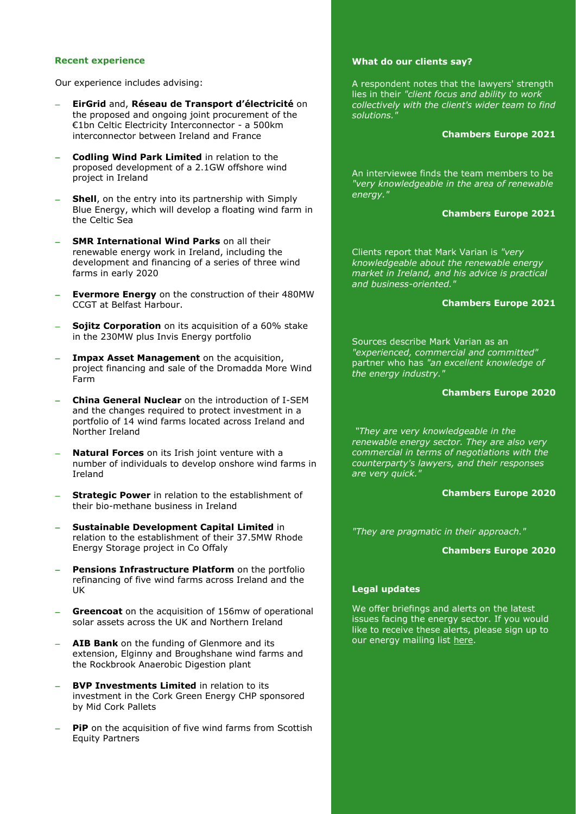#### **Recent experience**

Our experience includes advising:

- **EirGrid** and, **Réseau de Transport d'électricité** on the proposed and ongoing joint procurement of the €1bn Celtic Electricity Interconnector - a 500km interconnector between Ireland and France
- **Codling Wind Park Limited** in relation to the proposed development of a 2.1GW offshore wind project in Ireland
- **Shell**, on the entry into its partnership with Simply Blue Energy, which will develop a floating wind farm in the Celtic Sea
- **SMR International Wind Parks** on all their renewable energy work in Ireland, including the development and financing of a series of three wind farms in early 2020
- **Evermore Energy** on the construction of their 480MW CCGT at Belfast Harbour.
- **Sojitz Corporation** on its acquisition of a 60% stake in the 230MW plus Invis Energy portfolio
- **Impax Asset Management** on the acquisition, project financing and sale of the Dromadda More Wind Farm
- **China General Nuclear** on the introduction of I-SEM and the changes required to protect investment in a portfolio of 14 wind farms located across Ireland and Norther Ireland
- **Natural Forces** on its Irish joint venture with a number of individuals to develop onshore wind farms in Ireland
- **Strategic Power** in relation to the establishment of their bio-methane business in Ireland
- **Sustainable Development Capital Limited** in relation to the establishment of their 37.5MW Rhode Energy Storage project in Co Offaly
- **Pensions Infrastructure Platform** on the portfolio refinancing of five wind farms across Ireland and the UK
- **Greencoat** on the acquisition of 156mw of operational solar assets across the UK and Northern Ireland
- **AIB Bank** on the funding of Glenmore and its extension, Elginny and Broughshane wind farms and the Rockbrook Anaerobic Digestion plant
- **BVP Investments Limited** in relation to its investment in the Cork Green Energy CHP sponsored by Mid Cork Pallets
- **PiP** on the acquisition of five wind farms from Scottish Equity Partners

#### **What do our clients say?**

A respondent notes that the lawyers' strength lies in their *"client focus and ability to work collectively with the client's wider team to find solutions."*

#### **Chambers Europe 2021**

An interviewee finds the team members to be *"very knowledgeable in the area of renewable energy."*

#### **Chambers Europe 2021**

Clients report that Mark Varian is *"very knowledgeable about the renewable energy market in Ireland, and his advice is practical and business-oriented."*

#### **Chambers Europe 2021**

Sources describe Mark Varian as an *"experienced, commercial and committed"*  partner who has *"an excellent knowledge of the energy industry."*

#### **Chambers Europe 2020**

*"They are very knowledgeable in the renewable energy sector. They are also very commercial in terms of negotiations with the counterparty's lawyers, and their responses are very quick."*

#### **Chambers Europe 2020**

*"They are pragmatic in their approach."*

#### **Chambers Europe 2020**

## **Legal updates**

We offer briefings and alerts on the latest issues facing the energy sector. If you would like to receive these alerts, please sign up to our energy mailing list [here.](https://www.eversheds-sutherland.com/global/en/where/europe/ireland/overview/subscribe.page?)